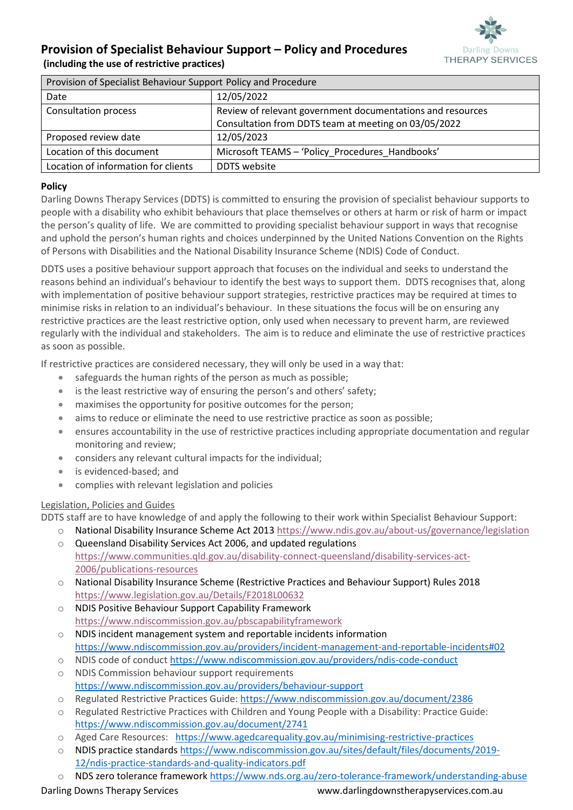# **Darling Downs THERAPY SERVICES**

## **Provision of Specialist Behaviour Support – Policy and Procedures**

**(including the use of restrictive practices)**

| Provision of Specialist Behaviour Support Policy and Procedure |                                                            |
|----------------------------------------------------------------|------------------------------------------------------------|
| Date                                                           | 12/05/2022                                                 |
| Consultation process                                           | Review of relevant government documentations and resources |
|                                                                | Consultation from DDTS team at meeting on 03/05/2022       |
| Proposed review date                                           | 12/05/2023                                                 |
| Location of this document                                      | Microsoft TEAMS - 'Policy Procedures Handbooks'            |
| Location of information for clients                            | DDTS website                                               |

#### **Policy**

Darling Downs Therapy Services (DDTS) is committed to ensuring the provision of specialist behaviour supports to people with a disability who exhibit behaviours that place themselves or others at harm or risk of harm or impact the person's quality of life. We are committed to providing specialist behaviour support in ways that recognise and uphold the person's human rights and choices underpinned by the United Nations Convention on the Rights of Persons with Disabilities and the National Disability Insurance Scheme (NDIS) Code of Conduct.

DDTS uses a positive behaviour support approach that focuses on the individual and seeks to understand the reasons behind an individual's behaviour to identify the best ways to support them. DDTS recognises that, along with implementation of positive behaviour support strategies, restrictive practices may be required at times to minimise risks in relation to an individual's behaviour. In these situations the focus will be on ensuring any restrictive practices are the least restrictive option, only used when necessary to prevent harm, are reviewed regularly with the individual and stakeholders. The aim is to reduce and eliminate the use of restrictive practices as soon as possible.

If restrictive practices are considered necessary, they will only be used in a way that:

- safeguards the human rights of the person as much as possible;
- is the least restrictive way of ensuring the person's and others' safety;
- maximises the opportunity for positive outcomes for the person;
- aims to reduce or eliminate the need to use restrictive practice as soon as possible;
- ensures accountability in the use of restrictive practices including appropriate documentation and regular monitoring and review;
- considers any relevant cultural impacts for the individual;
- is evidenced-based; and
- complies with relevant legislation and policies

### Legislation, Policies and Guides

DDTS staff are to have knowledge of and apply the following to their work within Specialist Behaviour Support:

- o National Disability Insurance Scheme Act 201[3 https://www.ndis.gov.au/about-us/governance/legislation](https://www.ndis.gov.au/about-us/governance/legislation) o Queensland Disability Services Act 2006, and updated regulations
	- [https://www.communities.qld.gov.au/disability-connect-queensland/disability-services-act-](https://www.communities.qld.gov.au/disability-connect-queensland/disability-services-act-2006/publications-resources)[2006/publications-resources](https://www.communities.qld.gov.au/disability-connect-queensland/disability-services-act-2006/publications-resources)
- o National Disability Insurance Scheme (Restrictive Practices and Behaviour Support) Rules 2018 <https://www.legislation.gov.au/Details/F2018L00632>
- o NDIS Positive Behaviour Support Capability Framework <https://www.ndiscommission.gov.au/pbscapabilityframework>
- o NDIS incident management system and reportable incidents information <https://www.ndiscommission.gov.au/providers/incident-management-and-reportable-incidents#02>
- o NDIS code of conduc[t https://www.ndiscommission.gov.au/providers/ndis-code-conduct](https://www.ndiscommission.gov.au/providers/ndis-code-conduct) o NDIS Commission behaviour support requirements
- <https://www.ndiscommission.gov.au/providers/behaviour-support> o Regulated Restrictive Practices Guide[: https://www.ndiscommission.gov.au/document/2386](https://www.ndiscommission.gov.au/document/2386)
- o Regulated Restrictive Practices with Children and Young People with a Disability: Practice Guide: <https://www.ndiscommission.gov.au/document/2741>
- o Aged Care Resources: <https://www.agedcarequality.gov.au/minimising-restrictive-practices>
- o NDIS practice standards [https://www.ndiscommission.gov.au/sites/default/files/documents/2019-](https://www.ndiscommission.gov.au/sites/default/files/documents/2019-12/ndis-practice-standards-and-quality-indicators.pdf) [12/ndis-practice-standards-and-quality-indicators.pdf](https://www.ndiscommission.gov.au/sites/default/files/documents/2019-12/ndis-practice-standards-and-quality-indicators.pdf)
- NDS zero tolerance framework<https://www.nds.org.au/zero-tolerance-framework/understanding-abuse>

Darling Downs Therapy Services www.darlingdownstherapyservices.com.au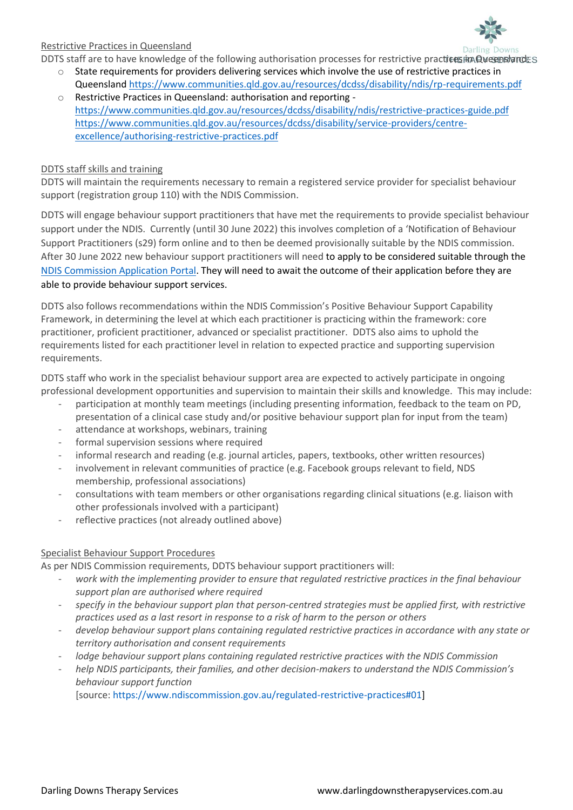

#### Restrictive Practices in Queensland

DDTS staff are to have knowledge of the following authorisation processes for restrictive practices in QueenslandES

- o State requirements for providers delivering services which involve the use of restrictive practices in Queensland<https://www.communities.qld.gov.au/resources/dcdss/disability/ndis/rp-requirements.pdf>
- o Restrictive Practices in Queensland: authorisation and reporting <https://www.communities.qld.gov.au/resources/dcdss/disability/ndis/restrictive-practices-guide.pdf> [https://www.communities.qld.gov.au/resources/dcdss/disability/service-providers/centre](https://www.communities.qld.gov.au/resources/dcdss/disability/service-providers/centre-excellence/authorising-restrictive-practices.pdf)[excellence/authorising-restrictive-practices.pdf](https://www.communities.qld.gov.au/resources/dcdss/disability/service-providers/centre-excellence/authorising-restrictive-practices.pdf)

#### DDTS staff skills and training

DDTS will maintain the requirements necessary to remain a registered service provider for specialist behaviour support (registration group 110) with the NDIS Commission.

DDTS will engage behaviour support practitioners that have met the requirements to provide specialist behaviour support under the NDIS. Currently (until 30 June 2022) this involves completion of a 'Notification of Behaviour Support Practitioners (s29) form online and to then be deemed provisionally suitable by the NDIS commission. After 30 June 2022 new behaviour support practitioners will need to apply to be considered suitable through the [NDIS Commission Application Portal.](https://www.ndiscommission.gov.au/resources/application-portal) They will need to await the outcome of their application before they are able to provide behaviour support services.

DDTS also follows recommendations within the NDIS Commission's Positive Behaviour Support Capability Framework, in determining the level at which each practitioner is practicing within the framework: core practitioner, proficient practitioner, advanced or specialist practitioner. DDTS also aims to uphold the requirements listed for each practitioner level in relation to expected practice and supporting supervision requirements.

DDTS staff who work in the specialist behaviour support area are expected to actively participate in ongoing professional development opportunities and supervision to maintain their skills and knowledge. This may include:

- participation at monthly team meetings (including presenting information, feedback to the team on PD, presentation of a clinical case study and/or positive behaviour support plan for input from the team)
- attendance at workshops, webinars, training
- formal supervision sessions where required
- informal research and reading (e.g. journal articles, papers, textbooks, other written resources)
- involvement in relevant communities of practice (e.g. Facebook groups relevant to field, NDS membership, professional associations)
- consultations with team members or other organisations regarding clinical situations (e.g. liaison with other professionals involved with a participant)
- reflective practices (not already outlined above)

### Specialist Behaviour Support Procedures

As per NDIS Commission requirements, DDTS behaviour support practitioners will:

- *work with the implementing provider to ensure that regulated restrictive practices in the final behaviour support plan are authorised where required*
- *specify in the behaviour support plan that person-centred strategies must be applied first, with restrictive practices used as a last resort in response to a risk of harm to the person or others*
- *develop behaviour support plans containing regulated restrictive practices in accordance with any state or territory authorisation and consent requirements*
- *lodge behaviour support plans containing regulated restrictive practices with the NDIS Commission*
- *help NDIS participants, their families, and other decision-makers to understand the NDIS Commission's behaviour support function*

[source: [https://www.ndiscommission.gov.au/regulated-restrictive-practices#01\]](https://www.ndiscommission.gov.au/regulated-restrictive-practices#01)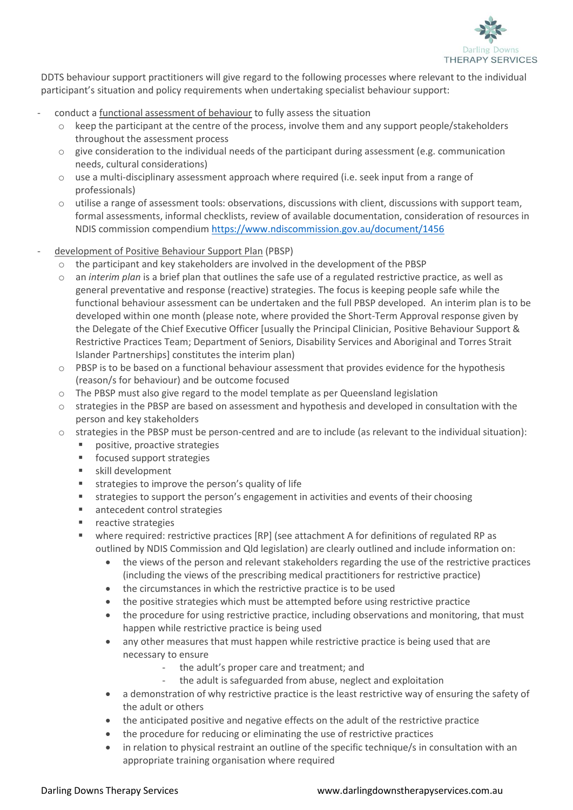

 participant's situation and policy requirements when undertaking specialist behaviour support: DDTS behaviour support practitioners will give regard to the following processes where relevant to the individual

- conduct a functional assessment of behaviour to fully assess the situation
	- $\circ$  keep the participant at the centre of the process, involve them and any support people/stakeholders throughout the assessment process
	- $\circ$  give consideration to the individual needs of the participant during assessment (e.g. communication needs, cultural considerations)
	- $\circ$  use a multi-disciplinary assessment approach where required (i.e. seek input from a range of professionals)
	- o utilise a range of assessment tools: observations, discussions with client, discussions with support team, formal assessments, informal checklists, review of available documentation, consideration of resources in NDIS commission compendium <https://www.ndiscommission.gov.au/document/1456>
- development of Positive Behaviour Support Plan (PBSP)
	- $\circ$  the participant and key stakeholders are involved in the development of the PBSP
	- o an *interim plan* is a brief plan that outlines the safe use of a regulated restrictive practice, as well as general preventative and response (reactive) strategies. The focus is keeping people safe while the functional behaviour assessment can be undertaken and the full PBSP developed. An interim plan is to be developed within one month (please note, where provided the Short-Term Approval response given by the Delegate of the Chief Executive Officer [usually the Principal Clinician, Positive Behaviour Support & Restrictive Practices Team; Department of Seniors, Disability Services and Aboriginal and Torres Strait Islander Partnerships] constitutes the interim plan)
	- o PBSP is to be based on a functional behaviour assessment that provides evidence for the hypothesis (reason/s for behaviour) and be outcome focused
	- o The PBSP must also give regard to the model template as per Queensland legislation
	- o strategies in the PBSP are based on assessment and hypothesis and developed in consultation with the person and key stakeholders
	- o strategies in the PBSP must be person-centred and are to include (as relevant to the individual situation):
		- positive, proactive strategies
		- focused support strategies
		- skill development
		- **■** strategies to improve the person's quality of life
		- strategies to support the person's engagement in activities and events of their choosing
		- antecedent control strategies
		- reactive strategies
		- where required: restrictive practices [RP] (see attachment A for definitions of regulated RP as outlined by NDIS Commission and Qld legislation) are clearly outlined and include information on:
			- the views of the person and relevant stakeholders regarding the use of the restrictive practices (including the views of the prescribing medical practitioners for restrictive practice)
			- the circumstances in which the restrictive practice is to be used
			- the positive strategies which must be attempted before using restrictive practice
			- the procedure for using restrictive practice, including observations and monitoring, that must happen while restrictive practice is being used
			- any other measures that must happen while restrictive practice is being used that are necessary to ensure
				- the adult's proper care and treatment; and
				- the adult is safeguarded from abuse, neglect and exploitation
			- a demonstration of why restrictive practice is the least restrictive way of ensuring the safety of the adult or others
			- the anticipated positive and negative effects on the adult of the restrictive practice
			- the procedure for reducing or eliminating the use of restrictive practices
			- in relation to physical restraint an outline of the specific technique/s in consultation with an appropriate training organisation where required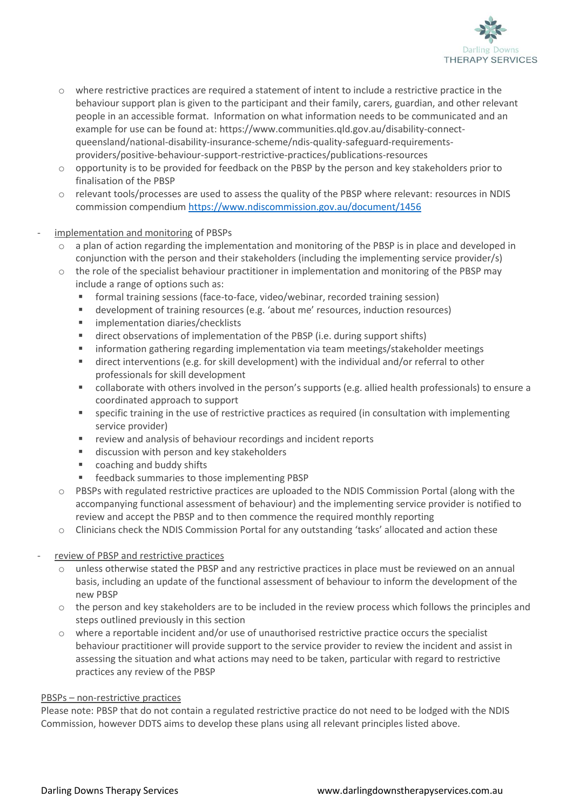

- o where restrictive practices are required a statement of intent to include a restrictive practice in the behaviour support plan is given to the participant and their family, carers, guardian, and other relevant people in an accessible format. Information on what information needs to be communicated and an example for use can be found at: [https://www.communities.qld.gov.au/disability-connect](https://www.communities.qld.gov.au/disability-connect-queensland/national-disability-insurance-scheme/ndis-quality-safeguard-requirements-providers/positive-behaviour-support-restrictive-practices/publications-resources)[queensland/national-disability-insurance-scheme/ndis-quality-safeguard-requirements](https://www.communities.qld.gov.au/disability-connect-queensland/national-disability-insurance-scheme/ndis-quality-safeguard-requirements-providers/positive-behaviour-support-restrictive-practices/publications-resources)[providers/positive-behaviour-support-restrictive-practices/publications-resources](https://www.communities.qld.gov.au/disability-connect-queensland/national-disability-insurance-scheme/ndis-quality-safeguard-requirements-providers/positive-behaviour-support-restrictive-practices/publications-resources)
- o opportunity is to be provided for feedback on the PBSP by the person and key stakeholders prior to finalisation of the PBSP
- o relevant tools/processes are used to assess the quality of the PBSP where relevant: resources in NDIS commission compendium <https://www.ndiscommission.gov.au/document/1456>
- implementation and monitoring of PBSPs
	- a plan of action regarding the implementation and monitoring of the PBSP is in place and developed in conjunction with the person and their stakeholders (including the implementing service provider/s)
	- o the role of the specialist behaviour practitioner in implementation and monitoring of the PBSP may include a range of options such as:
		- formal training sessions (face-to-face, video/webinar, recorded training session)
		- development of training resources (e.g. 'about me' resources, induction resources)
		- implementation diaries/checklists
		- direct observations of implementation of the PBSP (i.e. during support shifts)
		- information gathering regarding implementation via team meetings/stakeholder meetings
		- direct interventions (e.g. for skill development) with the individual and/or referral to other professionals for skill development
		- collaborate with others involved in the person's supports (e.g. allied health professionals) to ensure a coordinated approach to support
		- specific training in the use of restrictive practices as required (in consultation with implementing service provider)
		- review and analysis of behaviour recordings and incident reports
		- discussion with person and key stakeholders
		- coaching and buddy shifts
		- feedback summaries to those implementing PBSP
	- $\circ$  PBSPs with regulated restrictive practices are uploaded to the NDIS Commission Portal (along with the accompanying functional assessment of behaviour) and the implementing service provider is notified to review and accept the PBSP and to then commence the required monthly reporting
	- o Clinicians check the NDIS Commission Portal for any outstanding 'tasks' allocated and action these

#### review of PBSP and restrictive practices

- o unless otherwise stated the PBSP and any restrictive practices in place must be reviewed on an annual basis, including an update of the functional assessment of behaviour to inform the development of the new PBSP
- o the person and key stakeholders are to be included in the review process which follows the principles and steps outlined previously in this section
- o where a reportable incident and/or use of unauthorised restrictive practice occurs the specialist behaviour practitioner will provide support to the service provider to review the incident and assist in assessing the situation and what actions may need to be taken, particular with regard to restrictive practices any review of the PBSP

#### PBSPs – non-restrictive practices

Please note: PBSP that do not contain a regulated restrictive practice do not need to be lodged with the NDIS Commission, however DDTS aims to develop these plans using all relevant principles listed above.